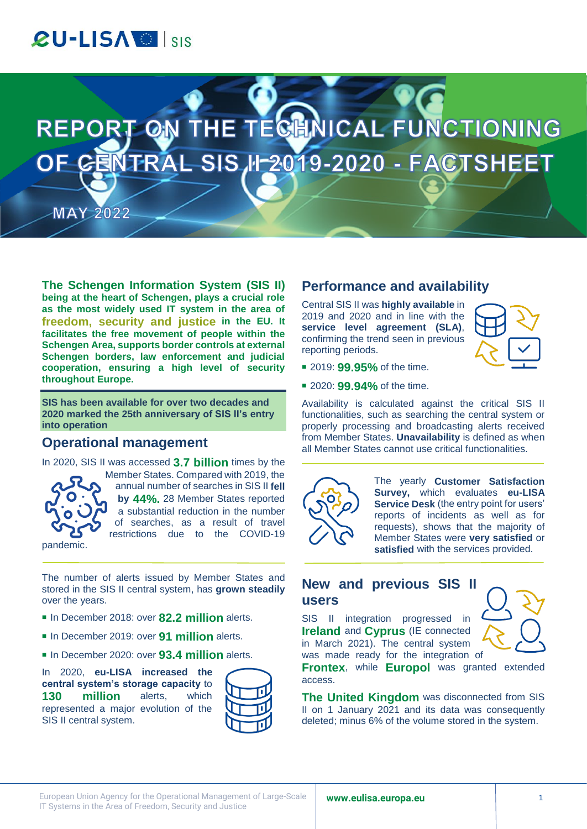# *RU-LISAVISIS*

# REPC OF GENTRAL SIS 1-2019-2020 - FACTSHEET

**MAY 2022** 

**The Schengen Information System (SIS II) being at the heart of Schengen, plays a crucial role as the most widely used IT system in the area of freedom, security and justice in the EU. It facilitates the free movement of people within the Schengen Area, supports border controls at external Schengen borders, law enforcement and judicial cooperation, ensuring a high level of security throughout Europe.**

**SIS has been available for over two decades and 2020 marked the 25th anniversary of SIS II's entry into operation**

## **Operational management**

In 2020, SIS II was accessed **3.7 billion** times by the



Member States. Compared with 2019, the annual number of searches in SIS II **fell by 44%.** 28 Member States reported a substantial reduction in the number of searches, as a result of travel restrictions due to the COVID-19

pandemic.

The number of alerts issued by Member States and stored in the SIS II central system, has **grown steadily** over the years.

- **In December 2018: over 82.2 million** alerts.
- **In December 2019: over 91 million** alerts.
- **In December 2020: over 93.4 million alerts.**

In 2020, **eu-LISA increased the central system's storage capacity** to **130 million** alerts, which represented a major evolution of the SIS II central system.



#### **Performance and availability**

Central SIS II was **highly available** in 2019 and 2020 and in line with the **service level agreement (SLA)**, confirming the trend seen in previous reporting periods.



- **2019: 99.95%** of the time.
- **2020: 99.94%** of the time.

Availability is calculated against the critical SIS II functionalities, such as searching the central system or properly processing and broadcasting alerts received from Member States. **Unavailability** is defined as when all Member States cannot use critical functionalities.



The yearly **Customer Satisfaction Survey,** which evaluates **eu-LISA Service Desk** (the entry point for users' reports of incidents as well as for requests), shows that the majority of Member States were **very satisfied** or **satisfied** with the services provided.

## **New and previous SIS II users**

SIS II integration progressed in **Ireland** and **Cyprus** (IE connected in March 2021). The central system was made ready for the integration of



**Frontex**, while **Europol** was granted extended access.

**The United Kingdom** was disconnected from SIS II on 1 January 2021 and its data was consequently deleted; minus 6% of the volume stored in the system.